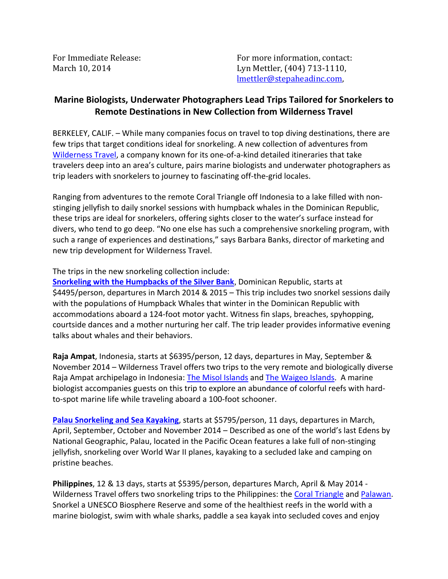For Immediate Release: The Contact: For more information, contact: March 10, 2014 Lyn Mettler, (404) 713-1110, lmettler@stepaheadinc.com,

## **Marine Biologists, Underwater Photographers Lead Trips Tailored for Snorkelers to Remote Destinations in New Collection from Wilderness Travel**

BERKELEY, CALIF. – While many companies focus on travel to top diving destinations, there are few trips that target conditions ideal for snorkeling. A new collection of adventures from [Wilderness Travel,](http://www.wildernesstravel.com/) a company known for its one-of-a-kind detailed itineraries that take travelers deep into an area's culture, pairs marine biologists and underwater photographers as trip leaders with snorkelers to journey to fascinating off-the-grid locales.

Ranging from adventures to the remote Coral Triangle off Indonesia to a lake filled with nonstinging jellyfish to daily snorkel sessions with humpback whales in the Dominican Republic, these trips are ideal for snorkelers, offering sights closer to the water's surface instead for divers, who tend to go deep. "No one else has such a comprehensive snorkeling program, with such a range of experiences and destinations," says Barbara Banks, director of marketing and new trip development for Wilderness Travel.

The trips in the new snorkeling collection include:

**[Snorkeling with the Humpbacks of the Silver Bank](http://www.wildernesstravel.com/trip/dominican-republic/humpback-whales-silver-bank-swimming-snorkeling)**, Dominican Republic, starts at \$4495/person, departures in March 2014 & 2015 – This trip includes two snorkel sessions daily with the populations of Humpback Whales that winter in the Dominican Republic with accommodations aboard a 124-foot motor yacht. Witness fin slaps, breaches, spyhopping, courtside dances and a mother nurturing her calf. The trip leader provides informative evening talks about whales and their behaviors.

**Raja Ampat**, Indonesia, starts at \$6395/person, 12 days, departures in May, September & November 2014 – Wilderness Travel offers two trips to the very remote and biologically diverse Raja Ampat archipelago in Indonesia: [The Misol Islands](http://www.wildernesstravel.com/trip/indonesia/raja-ampat-misool-snorkeling) and [The Waigeo Islands](http://www.wildernesstravel.com/trip/indonesia/raja-ampat-islands-snorkeling). A marine biologist accompanies guests on this trip to explore an abundance of colorful reefs with hardto-spot marine life while traveling aboard a 100-foot schooner.

**[Palau Snorkeling and Sea Kayaking](http://www.wildernesstravel.com/trip/palau/micronesia-kayaking-snorkeling)**, starts at \$5795/person, 11 days, departures in March, April, September, October and November 2014 – Described as one of the world's last Edens by National Geographic, Palau, located in the Pacific Ocean features a lake full of non-stinging jellyfish, snorkeling over World War II planes, kayaking to a secluded lake and camping on pristine beaches.

**Philippines**, 12 & 13 days, starts at \$5395/person, departures March, April & May 2014 - Wilderness Travel offers two snorkeling trips to the Philippines: the [Coral Triangle](http://www.wildernesstravel.com/trip/philippines/visayas-cabilao-anda-coral-triangle-snorkeling) and [Palawan.](http://www.wildernesstravel.com/trip/philippines/palawan-snorkeling-kayaking) Snorkel a UNESCO Biosphere Reserve and some of the healthiest reefs in the world with a marine biologist, swim with whale sharks, paddle a sea kayak into secluded coves and enjoy